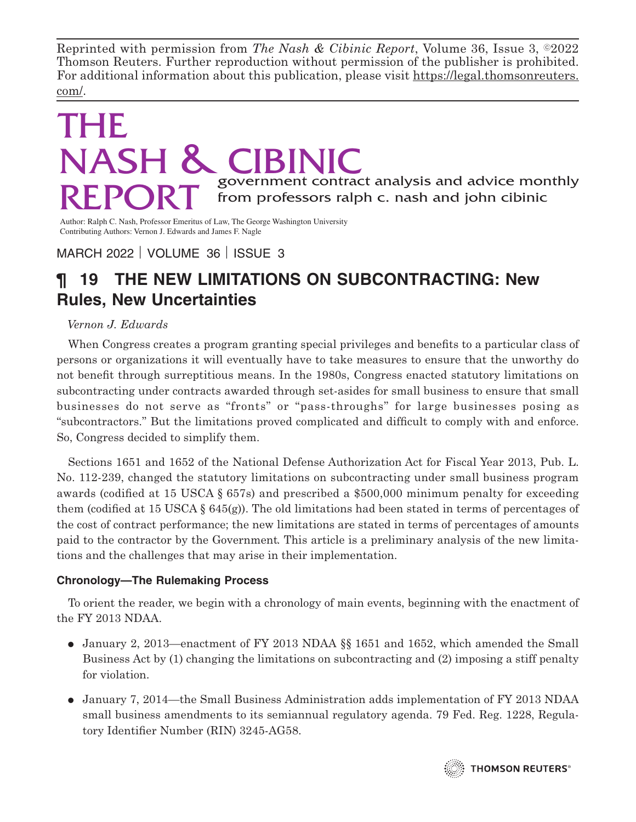Reprinted with permission from *The Nash & Cibinic Report*, Volume 36, Issue 3, ©2022 Thomson Reuters. Further reproduction without permission of the publisher is prohibited. For additional information about this publication, please visit https://legal.thomsonreuters. com/.

# THE NASH & CIB  $\mathsf{RFP}\mathsf{OPT}$  government contract analysis and advice monthly from professors ralph c. nash and john cibinic from professors ralph c. nash and john cibinic

Author: Ralph C. Nash, Professor Emeritus of Law, The George Washington University Contributing Authors: Vernon J. Edwards and James F. Nagle

MARCH 2022 | VOLUME 36 | ISSUE 3

# **¶ 19 THE NEW LIMITATIONS ON SUBCONTRACTING: New Rules, New Uncertainties**

# *Vernon J. Edwards*

When Congress creates a program granting special privileges and benefits to a particular class of persons or organizations it will eventually have to take measures to ensure that the unworthy do not benefit through surreptitious means. In the 1980s, Congress enacted statutory limitations on subcontracting under contracts awarded through set-asides for small business to ensure that small businesses do not serve as "fronts" or "pass-throughs" for large businesses posing as "subcontractors." But the limitations proved complicated and difficult to comply with and enforce. So, Congress decided to simplify them.

Sections 1651 and 1652 of the National Defense Authorization Act for Fiscal Year 2013, Pub. L. No. 112-239, changed the statutory limitations on subcontracting under small business program awards (codified at 15 USCA § 657s) and prescribed a \$500,000 minimum penalty for exceeding them (codified at 15 USCA  $\S$  645(g)). The old limitations had been stated in terms of percentages of the cost of contract performance; the new limitations are stated in terms of percentages of amounts paid to the contractor by the Government. This article is a preliminary analysis of the new limitations and the challenges that may arise in their implementation.

# **Chronology—The Rulemaking Process**

To orient the reader, we begin with a chronology of main events, beginning with the enactment of the FY 2013 NDAA.

- January 2, 2013—enactment of FY 2013 NDAA §§ 1651 and 1652, which amended the Small Business Act by (1) changing the limitations on subcontracting and (2) imposing a stiff penalty for violation.
- January 7, 2014—the Small Business Administration adds implementation of FY 2013 NDAA small business amendments to its semiannual regulatory agenda. 79 Fed. Reg. 1228, Regulatory Identifier Number (RIN) 3245-AG58.

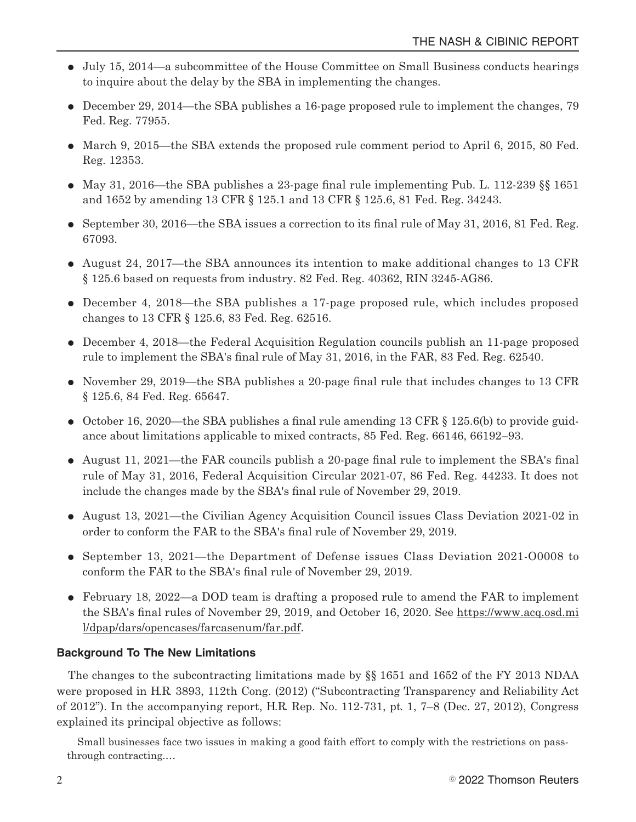- E July 15, 2014—a subcommittee of the House Committee on Small Business conducts hearings to inquire about the delay by the SBA in implementing the changes.
- $\bullet$  December 29, 2014—the SBA publishes a 16-page proposed rule to implement the changes, 79 Fed. Reg. 77955.
- E March 9, 2015—the SBA extends the proposed rule comment period to April 6, 2015, 80 Fed. Reg. 12353.
- May 31, 2016—the SBA publishes a 23-page final rule implementing Pub. L. 112-239  $\S$  1651 and 1652 by amending 13 CFR § 125.1 and 13 CFR § 125.6, 81 Fed. Reg. 34243.
- $\bullet$  September 30, 2016—the SBA issues a correction to its final rule of May 31, 2016, 81 Fed. Reg. 67093.
- $\bullet$  August 24, 2017—the SBA announces its intention to make additional changes to 13 CFR § 125.6 based on requests from industry. 82 Fed. Reg. 40362, RIN 3245-AG86.
- December 4, 2018—the SBA publishes a 17-page proposed rule, which includes proposed changes to 13 CFR § 125.6, 83 Fed. Reg. 62516.
- December 4, 2018—the Federal Acquisition Regulation councils publish an 11-page proposed rule to implement the SBA's final rule of May 31, 2016, in the FAR, 83 Fed. Reg. 62540.
- November 29, 2019—the SBA publishes a 20-page final rule that includes changes to 13 CFR § 125.6, 84 Fed. Reg. 65647.
- October 16, 2020—the SBA publishes a final rule amending 13 CFR  $\S$  125.6(b) to provide guidance about limitations applicable to mixed contracts, 85 Fed. Reg. 66146, 66192–93.
- E August 11, 2021—the FAR councils publish a 20-page final rule to implement the SBA's final rule of May 31, 2016, Federal Acquisition Circular 2021-07, 86 Fed. Reg. 44233. It does not include the changes made by the SBA's final rule of November 29, 2019.
- August 13, 2021—the Civilian Agency Acquisition Council issues Class Deviation 2021-02 in order to conform the FAR to the SBA's final rule of November 29, 2019.
- E September 13, 2021—the Department of Defense issues Class Deviation 2021-O0008 to conform the FAR to the SBA's final rule of November 29, 2019.
- February 18, 2022—a DOD team is drafting a proposed rule to amend the FAR to implement the SBA's final rules of November 29, 2019, and October 16, 2020. See https://www.acq.osd.mi l/dpap/dars/opencases/farcasenum/far.pdf.

## **Background To The New Limitations**

The changes to the subcontracting limitations made by §§ 1651 and 1652 of the FY 2013 NDAA were proposed in H.R. 3893, 112th Cong. (2012) ("Subcontracting Transparency and Reliability Act of 2012"). In the accompanying report, H.R. Rep. No. 112-731, pt. 1, 7–8 (Dec. 27, 2012), Congress explained its principal objective as follows:

Small businesses face two issues in making a good faith effort to comply with the restrictions on passthrough contracting.…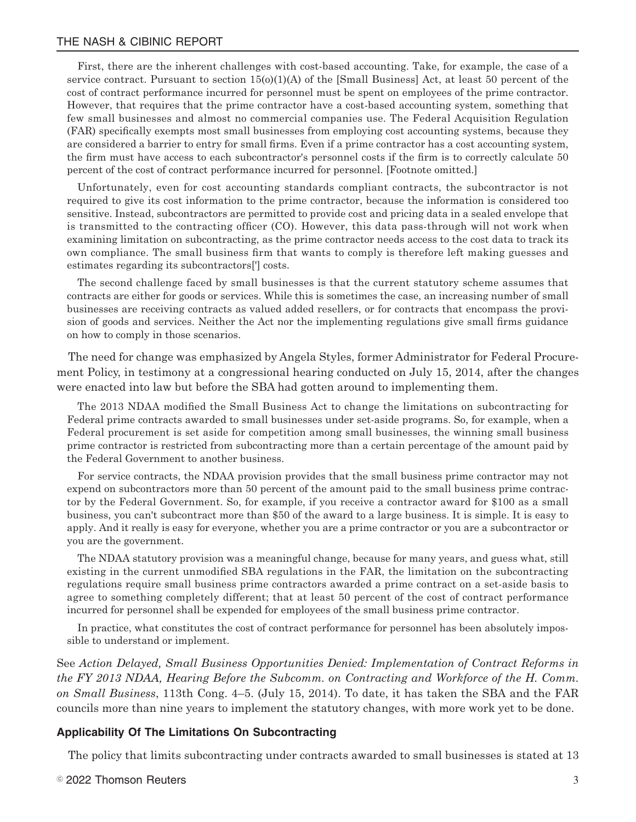First, there are the inherent challenges with cost-based accounting. Take, for example, the case of a service contract. Pursuant to section  $15(0)(1)(A)$  of the [Small Business] Act, at least 50 percent of the cost of contract performance incurred for personnel must be spent on employees of the prime contractor. However, that requires that the prime contractor have a cost-based accounting system, something that few small businesses and almost no commercial companies use. The Federal Acquisition Regulation (FAR) specifically exempts most small businesses from employing cost accounting systems, because they are considered a barrier to entry for small firms. Even if a prime contractor has a cost accounting system, the firm must have access to each subcontractor's personnel costs if the firm is to correctly calculate 50 percent of the cost of contract performance incurred for personnel. [Footnote omitted.]

Unfortunately, even for cost accounting standards compliant contracts, the subcontractor is not required to give its cost information to the prime contractor, because the information is considered too sensitive. Instead, subcontractors are permitted to provide cost and pricing data in a sealed envelope that is transmitted to the contracting officer (CO). However, this data pass-through will not work when examining limitation on subcontracting, as the prime contractor needs access to the cost data to track its own compliance. The small business firm that wants to comply is therefore left making guesses and estimates regarding its subcontractors['] costs.

The second challenge faced by small businesses is that the current statutory scheme assumes that contracts are either for goods or services. While this is sometimes the case, an increasing number of small businesses are receiving contracts as valued added resellers, or for contracts that encompass the provision of goods and services. Neither the Act nor the implementing regulations give small firms guidance on how to comply in those scenarios.

The need for change was emphasized by Angela Styles, former Administrator for Federal Procurement Policy, in testimony at a congressional hearing conducted on July 15, 2014, after the changes were enacted into law but before the SBA had gotten around to implementing them.

The 2013 NDAA modified the Small Business Act to change the limitations on subcontracting for Federal prime contracts awarded to small businesses under set-aside programs. So, for example, when a Federal procurement is set aside for competition among small businesses, the winning small business prime contractor is restricted from subcontracting more than a certain percentage of the amount paid by the Federal Government to another business.

For service contracts, the NDAA provision provides that the small business prime contractor may not expend on subcontractors more than 50 percent of the amount paid to the small business prime contractor by the Federal Government. So, for example, if you receive a contractor award for \$100 as a small business, you can't subcontract more than \$50 of the award to a large business. It is simple. It is easy to apply. And it really is easy for everyone, whether you are a prime contractor or you are a subcontractor or you are the government.

The NDAA statutory provision was a meaningful change, because for many years, and guess what, still existing in the current unmodified SBA regulations in the FAR, the limitation on the subcontracting regulations require small business prime contractors awarded a prime contract on a set-aside basis to agree to something completely different; that at least 50 percent of the cost of contract performance incurred for personnel shall be expended for employees of the small business prime contractor.

In practice, what constitutes the cost of contract performance for personnel has been absolutely impossible to understand or implement.

See *Action Delayed, Small Business Opportunities Denied: Implementation of Contract Reforms in the FY 2013 NDAA, Hearing Before the Subcomm. on Contracting and Workforce of the H. Comm. on Small Business*, 113th Cong. 4–5. (July 15, 2014). To date, it has taken the SBA and the FAR councils more than nine years to implement the statutory changes, with more work yet to be done.

#### **Applicability Of The Limitations On Subcontracting**

The policy that limits subcontracting under contracts awarded to small businesses is stated at 13

 $^{\circ}$  2022 Thomson Reuters  $^3$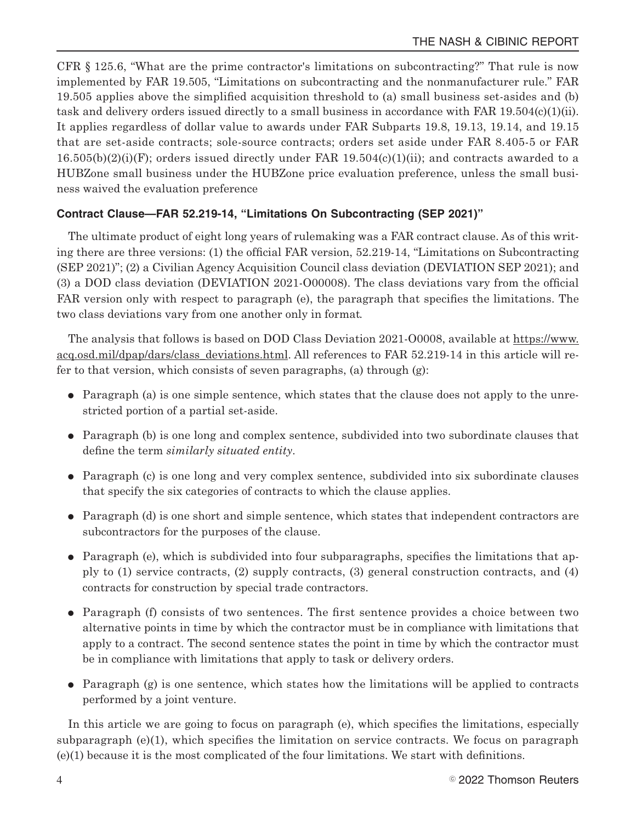CFR § 125.6, "What are the prime contractor's limitations on subcontracting?" That rule is now implemented by FAR 19.505, "Limitations on subcontracting and the nonmanufacturer rule." FAR 19.505 applies above the simplified acquisition threshold to (a) small business set-asides and (b) task and delivery orders issued directly to a small business in accordance with FAR 19.504(c)(1)(ii). It applies regardless of dollar value to awards under FAR Subparts 19.8, 19.13, 19.14, and 19.15 that are set-aside contracts; sole-source contracts; orders set aside under FAR 8.405-5 or FAR  $16.505(b)(2)(i)(F)$ ; orders issued directly under FAR  $19.504(c)(1)(ii)$ ; and contracts awarded to a HUBZone small business under the HUBZone price evaluation preference, unless the small business waived the evaluation preference

## **Contract Clause—FAR 52.219-14, "Limitations On Subcontracting (SEP 2021)"**

The ultimate product of eight long years of rulemaking was a FAR contract clause. As of this writing there are three versions: (1) the official FAR version, 52.219-14, "Limitations on Subcontracting (SEP 2021)"; (2) a Civilian Agency Acquisition Council class deviation (DEVIATION SEP 2021); and (3) a DOD class deviation (DEVIATION 2021-O00008). The class deviations vary from the official FAR version only with respect to paragraph (e), the paragraph that specifies the limitations. The two class deviations vary from one another only in format.

The analysis that follows is based on DOD Class Deviation 2021-O0008, available at https://www. acq.osd.mil/dpap/dars/class\_deviations.html. All references to FAR 52.219-14 in this article will refer to that version, which consists of seven paragraphs, (a) through (g):

- $\bullet$  Paragraph (a) is one simple sentence, which states that the clause does not apply to the unrestricted portion of a partial set-aside.
- $\bullet$  Paragraph (b) is one long and complex sentence, subdivided into two subordinate clauses that define the term *similarly situated entity*.
- Paragraph (c) is one long and very complex sentence, subdivided into six subordinate clauses that specify the six categories of contracts to which the clause applies.
- Paragraph (d) is one short and simple sentence, which states that independent contractors are subcontractors for the purposes of the clause.
- $\bullet$  Paragraph (e), which is subdivided into four subparagraphs, specifies the limitations that apply to (1) service contracts, (2) supply contracts, (3) general construction contracts, and (4) contracts for construction by special trade contractors.
- E Paragraph (f) consists of two sentences. The first sentence provides a choice between two alternative points in time by which the contractor must be in compliance with limitations that apply to a contract. The second sentence states the point in time by which the contractor must be in compliance with limitations that apply to task or delivery orders.
- $\bullet$  Paragraph (g) is one sentence, which states how the limitations will be applied to contracts performed by a joint venture.

In this article we are going to focus on paragraph (e), which specifies the limitations, especially subparagraph (e)(1), which specifies the limitation on service contracts. We focus on paragraph (e)(1) because it is the most complicated of the four limitations. We start with definitions.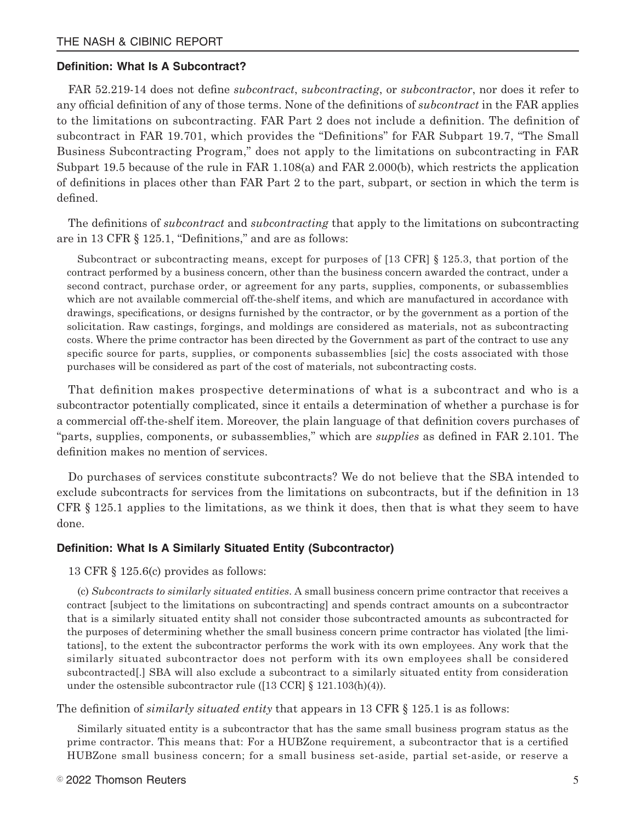#### **Definition: What Is A Subcontract?**

FAR 52.219-14 does not define *subcontract*, s*ubcontracting*, or *subcontractor*, nor does it refer to any official definition of any of those terms. None of the definitions of *subcontract* in the FAR applies to the limitations on subcontracting. FAR Part 2 does not include a definition. The definition of subcontract in FAR 19.701, which provides the "Definitions" for FAR Subpart 19.7, "The Small Business Subcontracting Program," does not apply to the limitations on subcontracting in FAR Subpart 19.5 because of the rule in FAR 1.108(a) and FAR 2.000(b), which restricts the application of definitions in places other than FAR Part 2 to the part, subpart, or section in which the term is defined.

The definitions of *subcontract* and *subcontracting* that apply to the limitations on subcontracting are in 13 CFR § 125.1, "Definitions," and are as follows:

Subcontract or subcontracting means, except for purposes of [13 CFR] § 125.3, that portion of the contract performed by a business concern, other than the business concern awarded the contract, under a second contract, purchase order, or agreement for any parts, supplies, components, or subassemblies which are not available commercial off-the-shelf items, and which are manufactured in accordance with drawings, specifications, or designs furnished by the contractor, or by the government as a portion of the solicitation. Raw castings, forgings, and moldings are considered as materials, not as subcontracting costs. Where the prime contractor has been directed by the Government as part of the contract to use any specific source for parts, supplies, or components subassemblies [sic] the costs associated with those purchases will be considered as part of the cost of materials, not subcontracting costs.

That definition makes prospective determinations of what is a subcontract and who is a subcontractor potentially complicated, since it entails a determination of whether a purchase is for a commercial off-the-shelf item. Moreover, the plain language of that definition covers purchases of "parts, supplies, components, or subassemblies," which are *supplies* as defined in FAR 2.101. The definition makes no mention of services.

Do purchases of services constitute subcontracts? We do not believe that the SBA intended to exclude subcontracts for services from the limitations on subcontracts, but if the definition in 13 CFR § 125.1 applies to the limitations, as we think it does, then that is what they seem to have done.

#### **Definition: What Is A Similarly Situated Entity (Subcontractor)**

13 CFR § 125.6(c) provides as follows:

(c) *Subcontracts to similarly situated entities*. A small business concern prime contractor that receives a contract [subject to the limitations on subcontracting] and spends contract amounts on a subcontractor that is a similarly situated entity shall not consider those subcontracted amounts as subcontracted for the purposes of determining whether the small business concern prime contractor has violated [the limitations], to the extent the subcontractor performs the work with its own employees. Any work that the similarly situated subcontractor does not perform with its own employees shall be considered subcontracted[.] SBA will also exclude a subcontract to a similarly situated entity from consideration under the ostensible subcontractor rule ([13 CCR]  $\S$  121.103(h)(4)).

The definition of *similarly situated entity* that appears in 13 CFR § 125.1 is as follows:

Similarly situated entity is a subcontractor that has the same small business program status as the prime contractor. This means that: For a HUBZone requirement, a subcontractor that is a certified HUBZone small business concern; for a small business set-aside, partial set-aside, or reserve a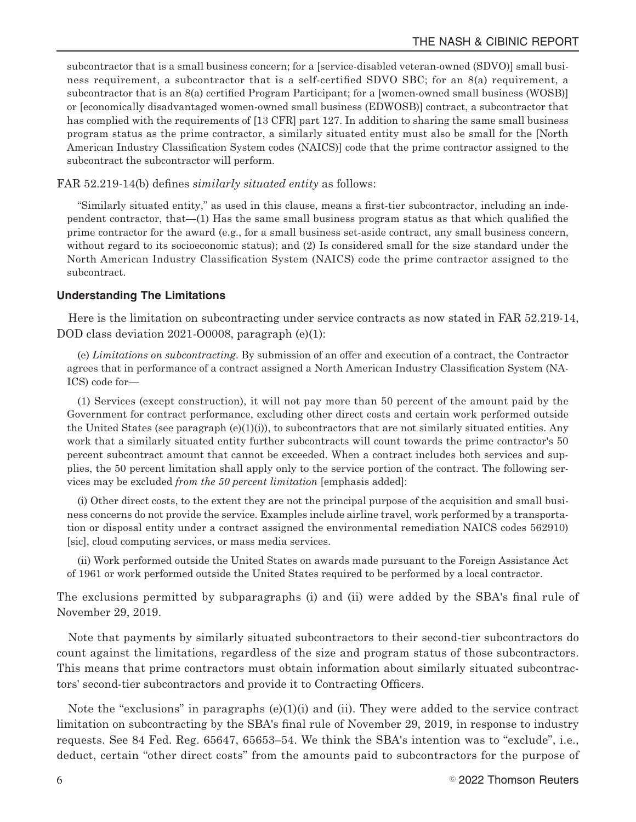subcontractor that is a small business concern; for a [service-disabled veteran-owned (SDVO)] small business requirement, a subcontractor that is a self-certified SDVO SBC; for an 8(a) requirement, a subcontractor that is an 8(a) certified Program Participant; for a [women-owned small business (WOSB)] or [economically disadvantaged women-owned small business (EDWOSB)] contract, a subcontractor that has complied with the requirements of [13 CFR] part 127. In addition to sharing the same small business program status as the prime contractor, a similarly situated entity must also be small for the [North American Industry Classification System codes (NAICS)] code that the prime contractor assigned to the subcontract the subcontractor will perform.

FAR 52.219-14(b) defines *similarly situated entity* as follows:

"Similarly situated entity," as used in this clause, means a first-tier subcontractor, including an independent contractor, that—(1) Has the same small business program status as that which qualified the prime contractor for the award (e.g., for a small business set-aside contract, any small business concern, without regard to its socioeconomic status); and (2) Is considered small for the size standard under the North American Industry Classification System (NAICS) code the prime contractor assigned to the subcontract.

#### **Understanding The Limitations**

Here is the limitation on subcontracting under service contracts as now stated in FAR 52.219-14, DOD class deviation 2021-O0008, paragraph (e)(1):

(e) *Limitations on subcontracting*. By submission of an offer and execution of a contract, the Contractor agrees that in performance of a contract assigned a North American Industry Classification System (NA-ICS) code for—

(1) Services (except construction), it will not pay more than 50 percent of the amount paid by the Government for contract performance, excluding other direct costs and certain work performed outside the United States (see paragraph  $(e)(1)(i)$ ), to subcontractors that are not similarly situated entities. Any work that a similarly situated entity further subcontracts will count towards the prime contractor's 50 percent subcontract amount that cannot be exceeded. When a contract includes both services and supplies, the 50 percent limitation shall apply only to the service portion of the contract. The following services may be excluded *from the 50 percent limitation* [emphasis added]:

(i) Other direct costs, to the extent they are not the principal purpose of the acquisition and small business concerns do not provide the service. Examples include airline travel, work performed by a transportation or disposal entity under a contract assigned the environmental remediation NAICS codes 562910) [sic], cloud computing services, or mass media services.

(ii) Work performed outside the United States on awards made pursuant to the Foreign Assistance Act of 1961 or work performed outside the United States required to be performed by a local contractor.

The exclusions permitted by subparagraphs (i) and (ii) were added by the SBA's final rule of November 29, 2019.

Note that payments by similarly situated subcontractors to their second-tier subcontractors do count against the limitations, regardless of the size and program status of those subcontractors. This means that prime contractors must obtain information about similarly situated subcontractors' second-tier subcontractors and provide it to Contracting Officers.

Note the "exclusions" in paragraphs  $(e)(1)(i)$  and  $(ii)$ . They were added to the service contract limitation on subcontracting by the SBA's final rule of November 29, 2019, in response to industry requests. See 84 Fed. Reg. 65647, 65653–54. We think the SBA's intention was to "exclude", i.e., deduct, certain "other direct costs" from the amounts paid to subcontractors for the purpose of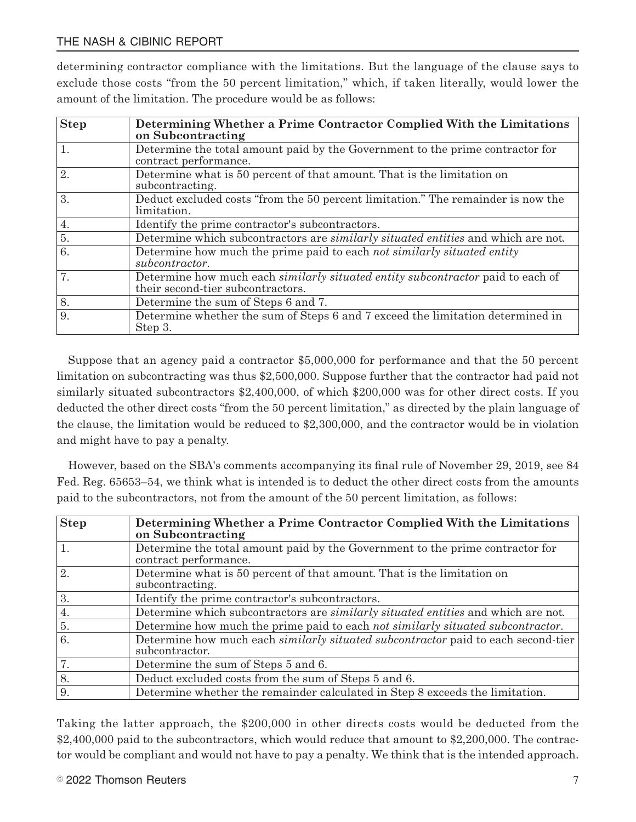determining contractor compliance with the limitations. But the language of the clause says to exclude those costs "from the 50 percent limitation," which, if taken literally, would lower the amount of the limitation. The procedure would be as follows:

| <b>Step</b> | Determining Whether a Prime Contractor Complied With the Limitations<br>on Subcontracting                            |
|-------------|----------------------------------------------------------------------------------------------------------------------|
| 1.          | Determine the total amount paid by the Government to the prime contractor for<br>contract performance.               |
| 2.          | Determine what is 50 percent of that amount. That is the limitation on<br>subcontracting.                            |
| 3.          | Deduct excluded costs "from the 50 percent limitation." The remainder is now the<br>limitation.                      |
| 4.          | Identify the prime contractor's subcontractors.                                                                      |
| 5.          | Determine which subcontractors are <i>similarly situated entities</i> and which are not.                             |
| 6.          | Determine how much the prime paid to each not similarly situated entity<br>subcontractor.                            |
| 7.          | Determine how much each similarly situated entity subcontractor paid to each of<br>their second-tier subcontractors. |
| 8.          | Determine the sum of Steps 6 and 7.                                                                                  |
| 9.          | Determine whether the sum of Steps 6 and 7 exceed the limitation determined in<br>Step 3.                            |

Suppose that an agency paid a contractor \$5,000,000 for performance and that the 50 percent limitation on subcontracting was thus \$2,500,000. Suppose further that the contractor had paid not similarly situated subcontractors \$2,400,000, of which \$200,000 was for other direct costs. If you deducted the other direct costs "from the 50 percent limitation," as directed by the plain language of the clause, the limitation would be reduced to \$2,300,000, and the contractor would be in violation and might have to pay a penalty.

However, based on the SBA's comments accompanying its final rule of November 29, 2019, see 84 Fed. Reg. 65653–54, we think what is intended is to deduct the other direct costs from the amounts paid to the subcontractors, not from the amount of the 50 percent limitation, as follows:

| <b>Step</b> | Determining Whether a Prime Contractor Complied With the Limitations<br>on Subcontracting                  |
|-------------|------------------------------------------------------------------------------------------------------------|
| 1.          | Determine the total amount paid by the Government to the prime contractor for<br>contract performance.     |
| 2.          | Determine what is 50 percent of that amount. That is the limitation on<br>subcontracting.                  |
| 3.          | Identify the prime contractor's subcontractors.                                                            |
| 4.          | Determine which subcontractors are <i>similarly situated entities</i> and which are not.                   |
| 5.          | Determine how much the prime paid to each not similarly situated subcontractor.                            |
| 6.          | Determine how much each <i>similarly situated subcontractor</i> paid to each second-tier<br>subcontractor. |
| 7.          | Determine the sum of Steps 5 and 6.                                                                        |
| 8.          | Deduct excluded costs from the sum of Steps 5 and 6.                                                       |
| 9.          | Determine whether the remainder calculated in Step 8 exceeds the limitation.                               |

Taking the latter approach, the \$200,000 in other directs costs would be deducted from the \$2,400,000 paid to the subcontractors, which would reduce that amount to \$2,200,000. The contractor would be compliant and would not have to pay a penalty. We think that is the intended approach.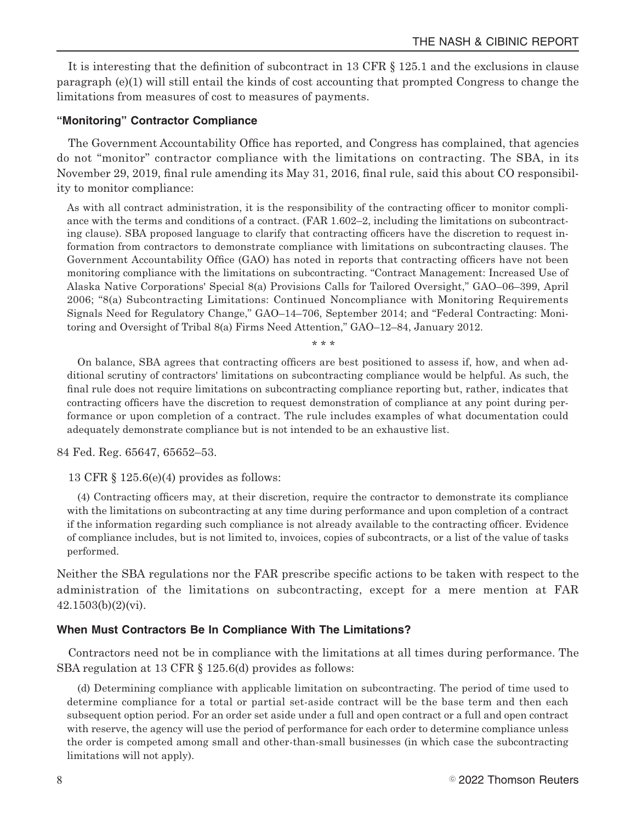It is interesting that the definition of subcontract in 13 CFR § 125.1 and the exclusions in clause paragraph (e)(1) will still entail the kinds of cost accounting that prompted Congress to change the limitations from measures of cost to measures of payments.

#### **"Monitoring" Contractor Compliance**

The Government Accountability Office has reported, and Congress has complained, that agencies do not "monitor" contractor compliance with the limitations on contracting. The SBA, in its November 29, 2019, final rule amending its May 31, 2016, final rule, said this about CO responsibility to monitor compliance:

As with all contract administration, it is the responsibility of the contracting officer to monitor compliance with the terms and conditions of a contract. (FAR 1.602–2, including the limitations on subcontracting clause). SBA proposed language to clarify that contracting officers have the discretion to request information from contractors to demonstrate compliance with limitations on subcontracting clauses. The Government Accountability Office (GAO) has noted in reports that contracting officers have not been monitoring compliance with the limitations on subcontracting. "Contract Management: Increased Use of Alaska Native Corporations' Special 8(a) Provisions Calls for Tailored Oversight," GAO–06–399, April 2006; "8(a) Subcontracting Limitations: Continued Noncompliance with Monitoring Requirements Signals Need for Regulatory Change," GAO–14–706, September 2014; and "Federal Contracting: Monitoring and Oversight of Tribal 8(a) Firms Need Attention," GAO–12–84, January 2012.

\* \* \*

On balance, SBA agrees that contracting officers are best positioned to assess if, how, and when additional scrutiny of contractors' limitations on subcontracting compliance would be helpful. As such, the final rule does not require limitations on subcontracting compliance reporting but, rather, indicates that contracting officers have the discretion to request demonstration of compliance at any point during performance or upon completion of a contract. The rule includes examples of what documentation could adequately demonstrate compliance but is not intended to be an exhaustive list.

84 Fed. Reg. 65647, 65652–53.

13 CFR § 125.6(e)(4) provides as follows:

(4) Contracting officers may, at their discretion, require the contractor to demonstrate its compliance with the limitations on subcontracting at any time during performance and upon completion of a contract if the information regarding such compliance is not already available to the contracting officer. Evidence of compliance includes, but is not limited to, invoices, copies of subcontracts, or a list of the value of tasks performed.

Neither the SBA regulations nor the FAR prescribe specific actions to be taken with respect to the administration of the limitations on subcontracting, except for a mere mention at FAR 42.1503(b)(2)(vi).

#### **When Must Contractors Be In Compliance With The Limitations?**

Contractors need not be in compliance with the limitations at all times during performance. The SBA regulation at 13 CFR § 125.6(d) provides as follows:

(d) Determining compliance with applicable limitation on subcontracting. The period of time used to determine compliance for a total or partial set-aside contract will be the base term and then each subsequent option period. For an order set aside under a full and open contract or a full and open contract with reserve, the agency will use the period of performance for each order to determine compliance unless the order is competed among small and other-than-small businesses (in which case the subcontracting limitations will not apply).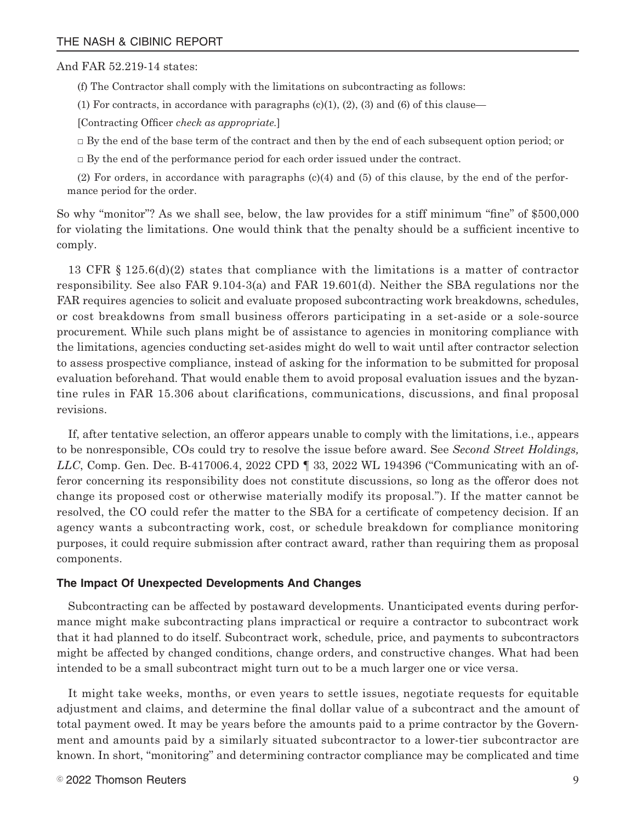#### And FAR 52.219-14 states:

(f) The Contractor shall comply with the limitations on subcontracting as follows:

(1) For contracts, in accordance with paragraphs  $(c)(1)$ ,  $(2)$ ,  $(3)$  and  $(6)$  of this clause—

[Contracting Officer *check as appropriate.*]

□ By the end of the base term of the contract and then by the end of each subsequent option period; or

 $\Box$  By the end of the performance period for each order issued under the contract.

(2) For orders, in accordance with paragraphs (c)(4) and (5) of this clause, by the end of the performance period for the order.

So why "monitor"? As we shall see, below, the law provides for a stiff minimum "fine" of \$500,000 for violating the limitations. One would think that the penalty should be a sufficient incentive to comply.

13 CFR § 125.6(d)(2) states that compliance with the limitations is a matter of contractor responsibility. See also FAR 9.104-3(a) and FAR 19.601(d). Neither the SBA regulations nor the FAR requires agencies to solicit and evaluate proposed subcontracting work breakdowns, schedules, or cost breakdowns from small business offerors participating in a set-aside or a sole-source procurement. While such plans might be of assistance to agencies in monitoring compliance with the limitations, agencies conducting set-asides might do well to wait until after contractor selection to assess prospective compliance, instead of asking for the information to be submitted for proposal evaluation beforehand. That would enable them to avoid proposal evaluation issues and the byzantine rules in FAR 15.306 about clarifications, communications, discussions, and final proposal revisions.

If, after tentative selection, an offeror appears unable to comply with the limitations, i.e., appears to be nonresponsible, COs could try to resolve the issue before award. See *Second Street Holdings, LLC*, Comp. Gen. Dec. B-417006.4, 2022 CPD ¶ 33, 2022 WL 194396 ("Communicating with an offeror concerning its responsibility does not constitute discussions, so long as the offeror does not change its proposed cost or otherwise materially modify its proposal."). If the matter cannot be resolved, the CO could refer the matter to the SBA for a certificate of competency decision. If an agency wants a subcontracting work, cost, or schedule breakdown for compliance monitoring purposes, it could require submission after contract award, rather than requiring them as proposal components.

#### **The Impact Of Unexpected Developments And Changes**

Subcontracting can be affected by postaward developments. Unanticipated events during performance might make subcontracting plans impractical or require a contractor to subcontract work that it had planned to do itself. Subcontract work, schedule, price, and payments to subcontractors might be affected by changed conditions, change orders, and constructive changes. What had been intended to be a small subcontract might turn out to be a much larger one or vice versa.

It might take weeks, months, or even years to settle issues, negotiate requests for equitable adjustment and claims, and determine the final dollar value of a subcontract and the amount of total payment owed. It may be years before the amounts paid to a prime contractor by the Government and amounts paid by a similarly situated subcontractor to a lower-tier subcontractor are known. In short, "monitoring" and determining contractor compliance may be complicated and time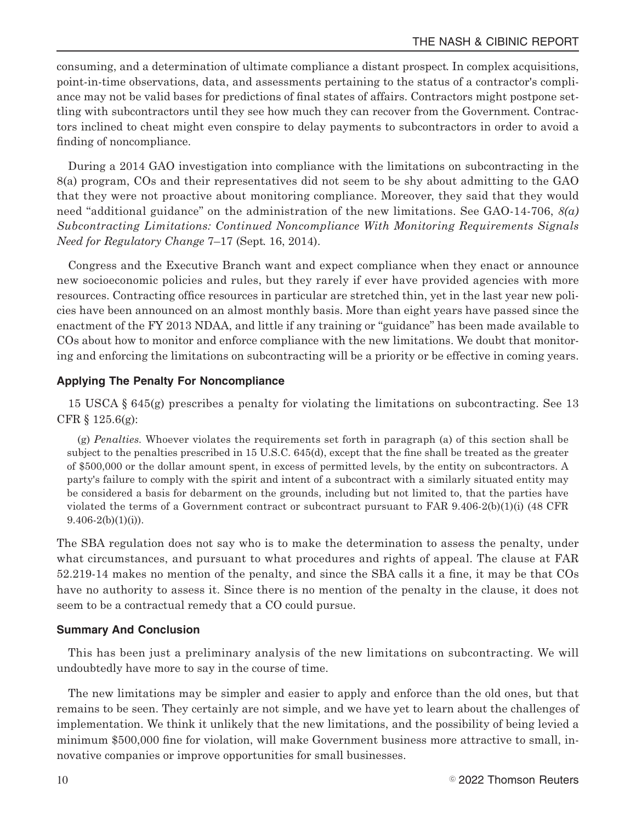consuming, and a determination of ultimate compliance a distant prospect. In complex acquisitions, point-in-time observations, data, and assessments pertaining to the status of a contractor's compliance may not be valid bases for predictions of final states of affairs. Contractors might postpone settling with subcontractors until they see how much they can recover from the Government. Contractors inclined to cheat might even conspire to delay payments to subcontractors in order to avoid a finding of noncompliance.

During a 2014 GAO investigation into compliance with the limitations on subcontracting in the 8(a) program, COs and their representatives did not seem to be shy about admitting to the GAO that they were not proactive about monitoring compliance. Moreover, they said that they would need "additional guidance" on the administration of the new limitations. See GAO-14-706, *8(a) Subcontracting Limitations: Continued Noncompliance With Monitoring Requirements Signals Need for Regulatory Change* 7–17 (Sept. 16, 2014).

Congress and the Executive Branch want and expect compliance when they enact or announce new socioeconomic policies and rules, but they rarely if ever have provided agencies with more resources. Contracting office resources in particular are stretched thin, yet in the last year new policies have been announced on an almost monthly basis. More than eight years have passed since the enactment of the FY 2013 NDAA, and little if any training or "guidance" has been made available to COs about how to monitor and enforce compliance with the new limitations. We doubt that monitoring and enforcing the limitations on subcontracting will be a priority or be effective in coming years.

#### **Applying The Penalty For Noncompliance**

15 USCA § 645(g) prescribes a penalty for violating the limitations on subcontracting. See 13 CFR § 125.6(g):

(g) *Penalties.* Whoever violates the requirements set forth in paragraph (a) of this section shall be subject to the penalties prescribed in 15 U.S.C. 645(d), except that the fine shall be treated as the greater of \$500,000 or the dollar amount spent, in excess of permitted levels, by the entity on subcontractors. A party's failure to comply with the spirit and intent of a subcontract with a similarly situated entity may be considered a basis for debarment on the grounds, including but not limited to, that the parties have violated the terms of a Government contract or subcontract pursuant to FAR 9.406-2(b)(1)(i) (48 CFR  $9.406-2(b)(1)(i)$ .

The SBA regulation does not say who is to make the determination to assess the penalty, under what circumstances, and pursuant to what procedures and rights of appeal. The clause at FAR 52.219-14 makes no mention of the penalty, and since the SBA calls it a fine, it may be that COs have no authority to assess it. Since there is no mention of the penalty in the clause, it does not seem to be a contractual remedy that a CO could pursue.

#### **Summary And Conclusion**

This has been just a preliminary analysis of the new limitations on subcontracting. We will undoubtedly have more to say in the course of time.

The new limitations may be simpler and easier to apply and enforce than the old ones, but that remains to be seen. They certainly are not simple, and we have yet to learn about the challenges of implementation. We think it unlikely that the new limitations, and the possibility of being levied a minimum \$500,000 fine for violation, will make Government business more attractive to small, innovative companies or improve opportunities for small businesses.